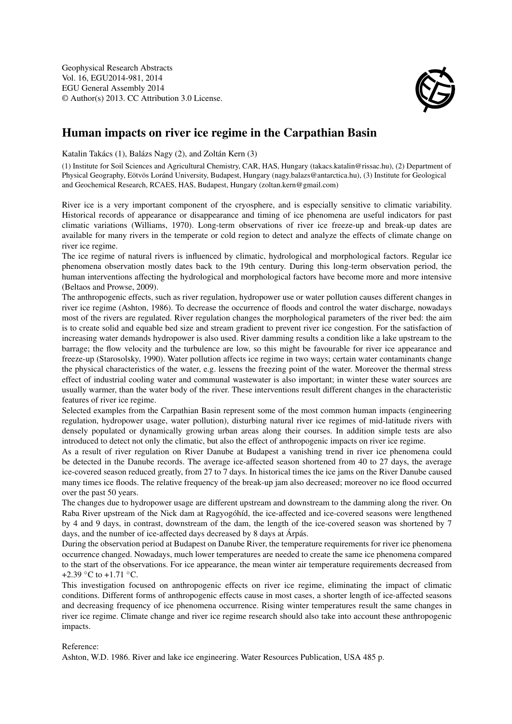Geophysical Research Abstracts Vol. 16, EGU2014-981, 2014 EGU General Assembly 2014 © Author(s) 2013. CC Attribution 3.0 License.



## Human impacts on river ice regime in the Carpathian Basin

Katalin Takács (1), Balázs Nagy (2), and Zoltán Kern (3)

(1) Institute for Soil Sciences and Agricultural Chemistry, CAR, HAS, Hungary (takacs.katalin@rissac.hu), (2) Department of Physical Geography, Eötvös Loránd University, Budapest, Hungary (nagy.balazs@antarctica.hu), (3) Institute for Geological and Geochemical Research, RCAES, HAS, Budapest, Hungary (zoltan.kern@gmail.com)

River ice is a very important component of the cryosphere, and is especially sensitive to climatic variability. Historical records of appearance or disappearance and timing of ice phenomena are useful indicators for past climatic variations (Williams, 1970). Long-term observations of river ice freeze-up and break-up dates are available for many rivers in the temperate or cold region to detect and analyze the effects of climate change on river ice regime.

The ice regime of natural rivers is influenced by climatic, hydrological and morphological factors. Regular ice phenomena observation mostly dates back to the 19th century. During this long-term observation period, the human interventions affecting the hydrological and morphological factors have become more and more intensive (Beltaos and Prowse, 2009).

The anthropogenic effects, such as river regulation, hydropower use or water pollution causes different changes in river ice regime (Ashton, 1986). To decrease the occurrence of floods and control the water discharge, nowadays most of the rivers are regulated. River regulation changes the morphological parameters of the river bed: the aim is to create solid and equable bed size and stream gradient to prevent river ice congestion. For the satisfaction of increasing water demands hydropower is also used. River damming results a condition like a lake upstream to the barrage; the flow velocity and the turbulence are low, so this might be favourable for river ice appearance and freeze-up (Starosolsky, 1990). Water pollution affects ice regime in two ways; certain water contaminants change the physical characteristics of the water, e.g. lessens the freezing point of the water. Moreover the thermal stress effect of industrial cooling water and communal wastewater is also important; in winter these water sources are usually warmer, than the water body of the river. These interventions result different changes in the characteristic features of river ice regime.

Selected examples from the Carpathian Basin represent some of the most common human impacts (engineering regulation, hydropower usage, water pollution), disturbing natural river ice regimes of mid-latitude rivers with densely populated or dynamically growing urban areas along their courses. In addition simple tests are also introduced to detect not only the climatic, but also the effect of anthropogenic impacts on river ice regime.

As a result of river regulation on River Danube at Budapest a vanishing trend in river ice phenomena could be detected in the Danube records. The average ice-affected season shortened from 40 to 27 days, the average ice-covered season reduced greatly, from 27 to 7 days. In historical times the ice jams on the River Danube caused many times ice floods. The relative frequency of the break-up jam also decreased; moreover no ice flood occurred over the past 50 years.

The changes due to hydropower usage are different upstream and downstream to the damming along the river. On Raba River upstream of the Nick dam at Ragyogóhíd, the ice-affected and ice-covered seasons were lengthened by 4 and 9 days, in contrast, downstream of the dam, the length of the ice-covered season was shortened by 7 days, and the number of ice-affected days decreased by 8 days at Árpás.

During the observation period at Budapest on Danube River, the temperature requirements for river ice phenomena occurrence changed. Nowadays, much lower temperatures are needed to create the same ice phenomena compared to the start of the observations. For ice appearance, the mean winter air temperature requirements decreased from +2.39  $\degree$ C to +1.71  $\degree$ C.

This investigation focused on anthropogenic effects on river ice regime, eliminating the impact of climatic conditions. Different forms of anthropogenic effects cause in most cases, a shorter length of ice-affected seasons and decreasing frequency of ice phenomena occurrence. Rising winter temperatures result the same changes in river ice regime. Climate change and river ice regime research should also take into account these anthropogenic impacts.

Reference:

Ashton, W.D. 1986. River and lake ice engineering. Water Resources Publication, USA 485 p.